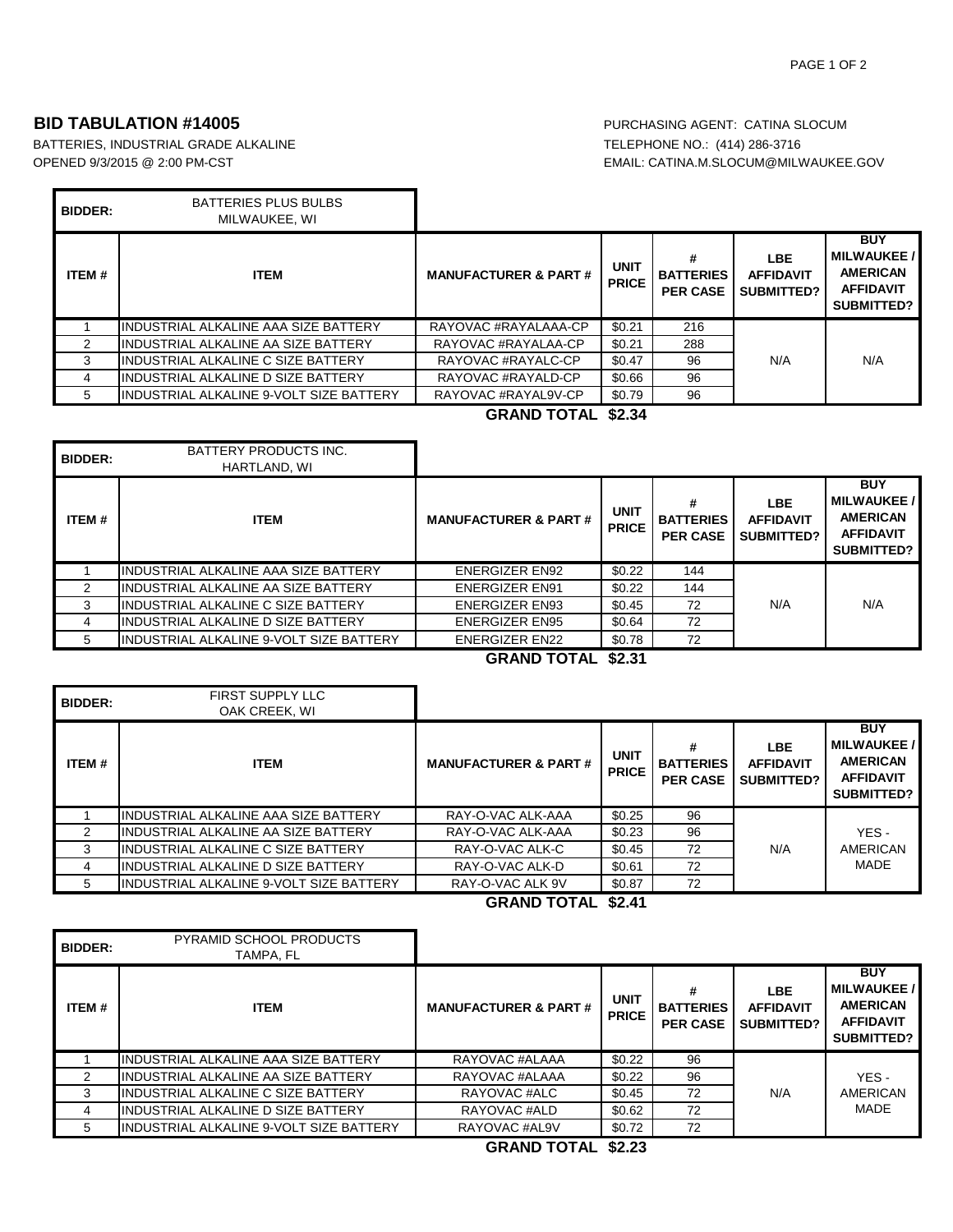## **BID TABULATION #14005 PURCHASING AGENT: CATINA SLOCUM**

BATTERIES, INDUSTRIAL GRADE ALKALINE TELEPHONE NO.: (414) 286-3716 OPENED 9/3/2015 @ 2:00 PM-CST CONTROLL: CATINA.M.SLOCUM@MILWAUKEE.GOV

| <b>BIDDER:</b> | BATTERIES PLUS BULBS<br>MILWAUKEE, WI     |                                 |                             |                                          |                                                     |                                                                                      |
|----------------|-------------------------------------------|---------------------------------|-----------------------------|------------------------------------------|-----------------------------------------------------|--------------------------------------------------------------------------------------|
| <b>ITEM#</b>   | <b>ITEM</b>                               | <b>MANUFACTURER &amp; PART#</b> | <b>UNIT</b><br><b>PRICE</b> | #<br><b>BATTERIES</b><br><b>PER CASE</b> | <b>LBE</b><br><b>AFFIDAVIT</b><br><b>SUBMITTED?</b> | <b>BUY</b><br><b>MILWAUKEE/</b><br><b>AMERICAN</b><br><b>AFFIDAVIT</b><br>SUBMITTED? |
|                | INDUSTRIAL ALKALINE AAA SIZE BATTERY      | RAYOVAC #RAYALAAA-CP            | \$0.21                      | 216                                      |                                                     |                                                                                      |
|                | IINDUSTRIAL ALKALINE AA SIZE BATTERY      | RAYOVAC #RAYALAA-CP             | \$0.21                      | 288                                      |                                                     |                                                                                      |
| 3              | <b>INDUSTRIAL ALKALINE C SIZE BATTERY</b> | RAYOVAC #RAYALC-CP              | \$0.47                      | 96                                       | N/A                                                 | N/A                                                                                  |
| 4              | IINDUSTRIAL ALKALINE D SIZE BATTERY       | RAYOVAC #RAYALD-CP              | \$0.66                      | 96                                       |                                                     |                                                                                      |
| 5.             | IINDUSTRIAL ALKALINE 9-VOLT SIZE BATTERY  | RAYOVAC #RAYAL9V-CP             | \$0.79                      | 96                                       |                                                     |                                                                                      |

**GRAND TOTAL \$2.34**

| <b>BIDDER:</b> | <b>BATTERY PRODUCTS INC.</b><br>HARTLAND, WI |                                 |                             |                                          |                                                     |                                                                                       |
|----------------|----------------------------------------------|---------------------------------|-----------------------------|------------------------------------------|-----------------------------------------------------|---------------------------------------------------------------------------------------|
| <b>ITEM#</b>   | <b>ITEM</b>                                  | <b>MANUFACTURER &amp; PART#</b> | <b>UNIT</b><br><b>PRICE</b> | #<br><b>BATTERIES</b><br><b>PER CASE</b> | <b>LBE</b><br><b>AFFIDAVIT</b><br><b>SUBMITTED?</b> | <b>BUY</b><br><b>MILWAUKEE /</b><br><b>AMERICAN</b><br><b>AFFIDAVIT</b><br>SUBMITTED? |
|                | IINDUSTRIAL ALKALINE AAA SIZE BATTERY        | <b>ENERGIZER EN92</b>           | \$0.22                      | 144                                      |                                                     |                                                                                       |
|                | IINDUSTRIAL ALKALINE AA SIZE BATTERY         | <b>ENERGIZER EN91</b>           | \$0.22                      | 144                                      |                                                     |                                                                                       |
| 3              | IINDUSTRIAL ALKALINE C SIZE BATTERY          | <b>ENERGIZER EN93</b>           | \$0.45                      | 72                                       | N/A                                                 | N/A                                                                                   |
| 4              | IINDUSTRIAL ALKALINE D SIZE BATTERY          | <b>ENERGIZER EN95</b>           | \$0.64                      | 72                                       |                                                     |                                                                                       |
| 5              | IINDUSTRIAL ALKALINE 9-VOLT SIZE BATTERY     | <b>ENERGIZER EN22</b>           | \$0.78                      | 72                                       |                                                     |                                                                                       |

**GRAND TOTAL \$2.31**

| <b>BIDDER:</b> | <b>FIRST SUPPLY LLC</b><br>OAK CREEK, WI |                                 |                             |                                          |                                                     |                                                                                             |
|----------------|------------------------------------------|---------------------------------|-----------------------------|------------------------------------------|-----------------------------------------------------|---------------------------------------------------------------------------------------------|
| <b>ITEM#</b>   | <b>ITEM</b>                              | <b>MANUFACTURER &amp; PART#</b> | <b>UNIT</b><br><b>PRICE</b> | #<br><b>BATTERIES</b><br><b>PER CASE</b> | <b>LBE</b><br><b>AFFIDAVIT</b><br><b>SUBMITTED?</b> | <b>BUY</b><br><b>MILWAUKEE/</b><br><b>AMERICAN</b><br><b>AFFIDAVIT</b><br><b>SUBMITTED?</b> |
|                | IINDUSTRIAL ALKALINE AAA SIZE BATTERY    | RAY-O-VAC ALK-AAA               | \$0.25                      | 96                                       |                                                     |                                                                                             |
| 2              | IINDUSTRIAL ALKALINE AA SIZE BATTERY     | RAY-O-VAC ALK-AAA               | \$0.23                      | 96                                       |                                                     | YES-                                                                                        |
| 3              | IINDUSTRIAL ALKALINE C SIZE BATTERY      | RAY-O-VAC ALK-C                 | \$0.45                      | 72                                       | N/A                                                 | AMERICAN                                                                                    |
| 4              | IINDUSTRIAL ALKALINE D SIZE BATTERY      | RAY-O-VAC ALK-D                 | \$0.61                      | 72                                       |                                                     | MADE                                                                                        |
| 5              | IINDUSTRIAL ALKALINE 9-VOLT SIZE BATTERY | RAY-O-VAC ALK 9V                | \$0.87                      | 72                                       |                                                     |                                                                                             |

**GRAND TOTAL \$2.41**

| <b>BIDDER:</b> | <b>PYRAMID SCHOOL PRODUCTS</b><br>TAMPA. FL |                                 |                             |                                     |                                              |                                                                                              |
|----------------|---------------------------------------------|---------------------------------|-----------------------------|-------------------------------------|----------------------------------------------|----------------------------------------------------------------------------------------------|
| ITEM#          | <b>ITEM</b>                                 | <b>MANUFACTURER &amp; PART#</b> | <b>UNIT</b><br><b>PRICE</b> | <b>BATTERIES</b><br><b>PER CASE</b> | <b>LBE</b><br><b>AFFIDAVIT</b><br>SUBMITTED? | <b>BUY</b><br><b>MILWAUKEE /</b><br><b>AMERICAN</b><br><b>AFFIDAVIT</b><br><b>SUBMITTED?</b> |
|                | IINDUSTRIAL ALKALINE AAA SIZE BATTERY       | RAYOVAC #ALAAA                  | \$0.22                      | 96                                  |                                              |                                                                                              |
| $\mathcal{P}$  | IINDUSTRIAL ALKALINE AA SIZE BATTERY        | RAYOVAC #ALAAA                  | \$0.22                      | 96                                  |                                              | YES-                                                                                         |
| 3              | IINDUSTRIAL ALKALINE C SIZE BATTERY         | RAYOVAC #ALC                    | \$0.45                      | 72                                  | N/A                                          | AMERICAN                                                                                     |
| 4              | IINDUSTRIAL ALKALINE D SIZE BATTERY         | RAYOVAC #ALD                    | \$0.62                      | 72                                  |                                              | MADE                                                                                         |
| 5              | IINDUSTRIAL ALKALINE 9-VOLT SIZE BATTERY    | RAYOVAC #AL9V                   | \$0.72                      | 72                                  |                                              |                                                                                              |